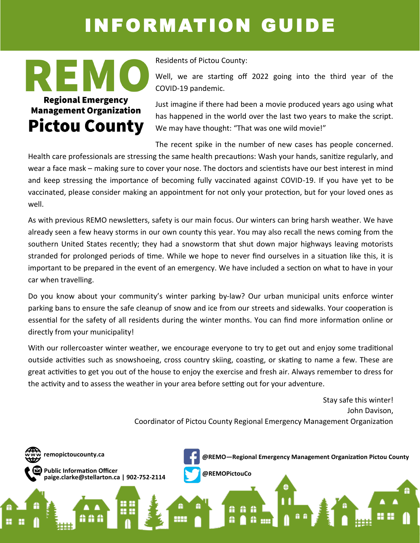## INFORMATION GUIDE

## R **Regional Emergency Management Organization Pictou County**

Residents of Pictou County:

Well, we are starting off 2022 going into the third year of the COVID-19 pandemic.

Just imagine if there had been a movie produced years ago using what has happened in the world over the last two years to make the script. We may have thought: "That was one wild movie!"

The recent spike in the number of new cases has people concerned.

Health care professionals are stressing the same health precautions: Wash your hands, sanitize regularly, and wear a face mask – making sure to cover your nose. The doctors and scientists have our best interest in mind and keep stressing the importance of becoming fully vaccinated against COVID-19. If you have yet to be vaccinated, please consider making an appointment for not only your protection, but for your loved ones as well.

As with previous REMO newsletters, safety is our main focus. Our winters can bring harsh weather. We have already seen a few heavy storms in our own county this year. You may also recall the news coming from the southern United States recently; they had a snowstorm that shut down major highways leaving motorists stranded for prolonged periods of time. While we hope to never find ourselves in a situation like this, it is important to be prepared in the event of an emergency. We have included a section on what to have in your car when travelling.

Do you know about your community's winter parking by-law? Our urban municipal units enforce winter parking bans to ensure the safe cleanup of snow and ice from our streets and sidewalks. Your cooperation is essential for the safety of all residents during the winter months. You can find more information online or directly from your municipality!

With our rollercoaster winter weather, we encourage everyone to try to get out and enjoy some traditional outside activities such as snowshoeing, cross country skiing, coasting, or skating to name a few. These are great activities to get you out of the house to enjoy the exercise and fresh air. Always remember to dress for the activity and to assess the weather in your area before setting out for your adventure.

> Stay safe this winter! John Davison, Coordinator of Pictou County Regional Emergency Management Organization

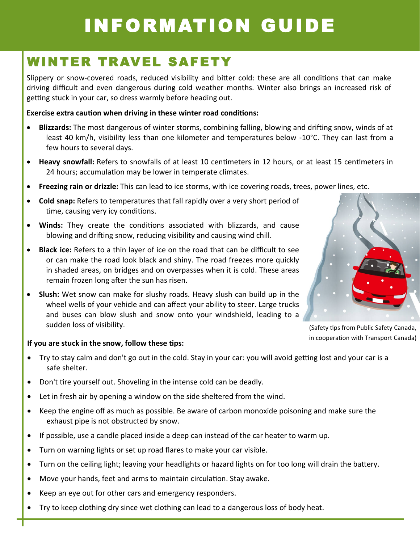# INFORMATION GUIDE

### WINTER TRAVEL SAFETY

Slippery or snow-covered roads, reduced visibility and bitter cold: these are all conditions that can make driving difficult and even dangerous during cold weather months. Winter also brings an increased risk of getting stuck in your car, so dress warmly before heading out.

#### **Exercise extra caution when driving in these winter road conditions:**

- **Blizzards:** The most dangerous of winter storms, combining falling, blowing and drifting snow, winds of at least 40 km/h, visibility less than one kilometer and temperatures below -10°C. They can last from a few hours to several days.
- **Heavy snowfall:** Refers to snowfalls of at least 10 centimeters in 12 hours, or at least 15 centimeters in 24 hours; accumulation may be lower in temperate climates.
- **Freezing rain or drizzle:** This can lead to ice storms, with ice covering roads, trees, power lines, etc.
- **Cold snap:** Refers to temperatures that fall rapidly over a very short period of time, causing very icy conditions.
- **Winds:** They create the conditions associated with blizzards, and cause blowing and drifting snow, reducing visibility and causing wind chill.
- **Black ice:** Refers to a thin layer of ice on the road that can be difficult to see or can make the road look black and shiny. The road freezes more quickly in shaded areas, on bridges and on overpasses when it is cold. These areas remain frozen long after the sun has risen.
- **Slush:** Wet snow can make for slushy roads. Heavy slush can build up in the wheel wells of your vehicle and can affect your ability to steer. Large trucks and buses can blow slush and snow onto your windshield, leading to a sudden loss of visibility.



(Safety tips from Public Safety Canada, in cooperation with Transport Canada)

#### **If you are stuck in the snow, follow these tips:**

- Try to stay calm and don't go out in the cold. Stay in your car: you will avoid getting lost and your car is a safe shelter.
- Don't tire yourself out. Shoveling in the intense cold can be deadly.
- Let in fresh air by opening a window on the side sheltered from the wind.
- Keep the engine off as much as possible. Be aware of carbon monoxide poisoning and make sure the exhaust pipe is not obstructed by snow.
- If possible, use a candle placed inside a deep can instead of the car heater to warm up.
- Turn on warning lights or set up road flares to make your car visible.
- Turn on the ceiling light; leaving your headlights or hazard lights on for too long will drain the battery.
- Move your hands, feet and arms to maintain circulation. Stay awake.
- Keep an eye out for other cars and emergency responders.
- Try to keep clothing dry since wet clothing can lead to a dangerous loss of body heat.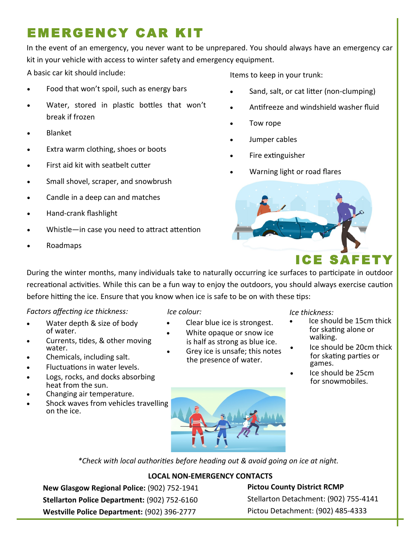## EMERGENCY CAR KIT

In the event of an emergency, you never want to be unprepared. You should always have an emergency car kit in your vehicle with access to winter safety and emergency equipment.

A basic car kit should include:

- Food that won't spoil, such as energy bars
- Water, stored in plastic bottles that won't break if frozen
- Blanket
- Extra warm clothing, shoes or boots
- First aid kit with seatbelt cutter
- Small shovel, scraper, and snowbrush
- Candle in a deep can and matches
- Hand-crank flashlight
- Whistle-in case you need to attract attention
- Roadmaps

Items to keep in your trunk:

- Sand, salt, or cat litter (non-clumping)
- Antifreeze and windshield washer fluid
- Tow rope
- Jumper cables
- Fire extinguisher
- Warning light or road flares



During the winter months, many individuals take to naturally occurring ice surfaces to participate in outdoor recreational activities. While this can be a fun way to enjoy the outdoors, you should always exercise caution before hitting the ice. Ensure that you know when ice is safe to be on with these tips:

#### *Factors affecting ice thickness:*

- Water depth & size of body of water.
- water. • Currents, tides, & other moving
- Chemicals, including salt.
- Fluctuations in water levels.
- Logs, rocks, and docks absorbing heat from the sun.
- Changing air temperature.
- Shock waves from vehicles travelling on the ice.

#### *Ice colour:*

- Clear blue ice is strongest.
	- is half as strong as blue ice. White opaque or snow ice
	- Grey ice is unsafe; this notes the presence of water.

#### *Ice thickness:*

- Ice should be 15cm thick for skating alone or walking.
- Ice should be 20cm thick for skating parties or games.
- Ice should be 25cm for snowmobiles.



*\*Check with local authorities before heading out & avoid going on ice at night.*

#### **LOCAL NON-EMERGENCY CONTACTS**

**New Glasgow Regional Police:** (902) 752-1941 **Stellarton Police Department:** (902) 752-6160 **Westville Police Department:** (902) 396-2777

**Pictou County District RCMP** Stellarton Detachment: (902) 755-4141 Pictou Detachment: (902) 485-4333